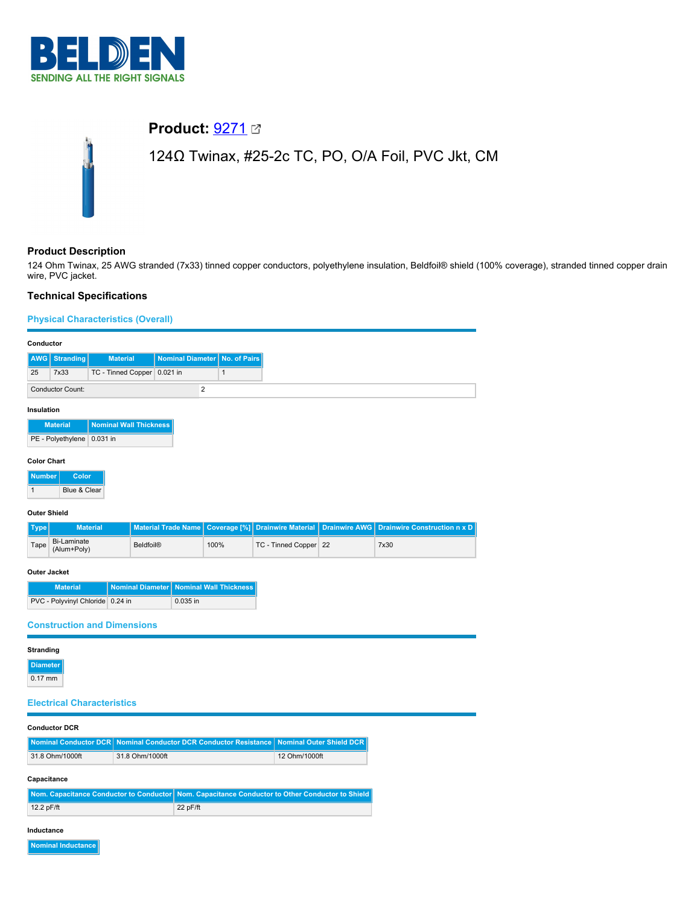

# **Product:** [9271](https://catalog.belden.com/index.cfm?event=pd&p=PF_9271&tab=downloads)

## 124Ω Twinax, #25-2c TC, PO, O/A Foil, PVC Jkt, CM

## **Product Description**

124 Ohm Twinax, 25 AWG stranded (7x33) tinned copper conductors, polyethylene insulation, Beldfoil® shield (100% coverage), stranded tinned copper drain wire, PVC jacket.

## **Technical Specifications**

## **Physical Characteristics (Overall)**

| Conductor           |                                   |                 |                                                |                            |                |                                            |                                                         |                                 |                                     |
|---------------------|-----------------------------------|-----------------|------------------------------------------------|----------------------------|----------------|--------------------------------------------|---------------------------------------------------------|---------------------------------|-------------------------------------|
| AWG                 | <b>Stranding</b>                  |                 | <b>Material</b>                                | <b>Nominal Diameter</b>    |                | No. of Pairs                               |                                                         |                                 |                                     |
| 25                  | 7x33                              |                 | TC - Tinned Copper 0.021 in                    |                            |                | $\mathbf{1}$                               |                                                         |                                 |                                     |
|                     | <b>Conductor Count:</b>           |                 |                                                |                            | $\overline{2}$ |                                            |                                                         |                                 |                                     |
| Insulation          |                                   |                 |                                                |                            |                |                                            |                                                         |                                 |                                     |
|                     | <b>Material</b>                   |                 | <b>Nominal Wall Thickness</b>                  |                            |                |                                            |                                                         |                                 |                                     |
|                     | PE - Polyethylene 0.031 in        |                 |                                                |                            |                |                                            |                                                         |                                 |                                     |
| <b>Color Chart</b>  |                                   |                 |                                                |                            |                |                                            |                                                         |                                 |                                     |
| <b>Number</b>       | Color                             |                 |                                                |                            |                |                                            |                                                         |                                 |                                     |
| $\mathbf{1}$        | Blue & Clear                      |                 |                                                |                            |                |                                            |                                                         |                                 |                                     |
| <b>Outer Shield</b> |                                   |                 |                                                |                            |                |                                            |                                                         |                                 |                                     |
| <b>Type</b>         |                                   | <b>Material</b> |                                                | <b>Material Trade Name</b> |                | <b>Coverage [%]</b>                        | <b>Drainwire Material</b>                               | <b>Drainwire AWG</b>            | <b>Drainwire Construction n x D</b> |
| Tape                | <b>Bi-Laminate</b><br>(Alum+Poly) |                 | <b>Beldfoil®</b>                               |                            |                | 100%                                       | TC - Tinned Copper 22                                   |                                 | 7x30                                |
|                     | <b>Outer Jacket</b>               |                 |                                                |                            |                |                                            |                                                         |                                 |                                     |
|                     | <b>Material</b>                   |                 | <b>Nominal Diameter</b>                        |                            |                | <b>Nominal Wall Thickness</b>              |                                                         |                                 |                                     |
|                     | PVC - Polyvinyl Chloride 0.24 in  |                 |                                                |                            | 0.035 in       |                                            |                                                         |                                 |                                     |
|                     |                                   |                 | <b>Construction and Dimensions</b>             |                            |                |                                            |                                                         |                                 |                                     |
| <b>Stranding</b>    |                                   |                 |                                                |                            |                |                                            |                                                         |                                 |                                     |
| <b>Diameter</b>     |                                   |                 |                                                |                            |                |                                            |                                                         |                                 |                                     |
| $0.17$ mm           |                                   |                 |                                                |                            |                |                                            |                                                         |                                 |                                     |
|                     |                                   |                 |                                                |                            |                |                                            |                                                         |                                 |                                     |
|                     | <b>Electrical Characteristics</b> |                 |                                                |                            |                |                                            |                                                         |                                 |                                     |
|                     | <b>Conductor DCR</b>              |                 |                                                |                            |                |                                            |                                                         |                                 |                                     |
|                     | <b>Nominal Conductor DCR</b>      |                 |                                                |                            |                | Nominal Conductor DCR Conductor Resistance |                                                         | <b>Nominal Outer Shield DCR</b> |                                     |
|                     | 31.8 Ohm/1000ft                   |                 | 31.8 Ohm/1000ft                                |                            |                |                                            | 12 Ohm/1000ft                                           |                                 |                                     |
|                     | Capacitance                       |                 |                                                |                            |                |                                            |                                                         |                                 |                                     |
|                     |                                   |                 | <b>Nom. Capacitance Conductor to Conductor</b> |                            |                |                                            | Nom. Capacitance Conductor to Other Conductor to Shield |                                 |                                     |
| 12.2 pF/ft          |                                   |                 |                                                |                            | 22 pF/ft       |                                            |                                                         |                                 |                                     |
| Inductance          |                                   |                 |                                                |                            |                |                                            |                                                         |                                 |                                     |
|                     | Nominal Inductance                |                 |                                                |                            |                |                                            |                                                         |                                 |                                     |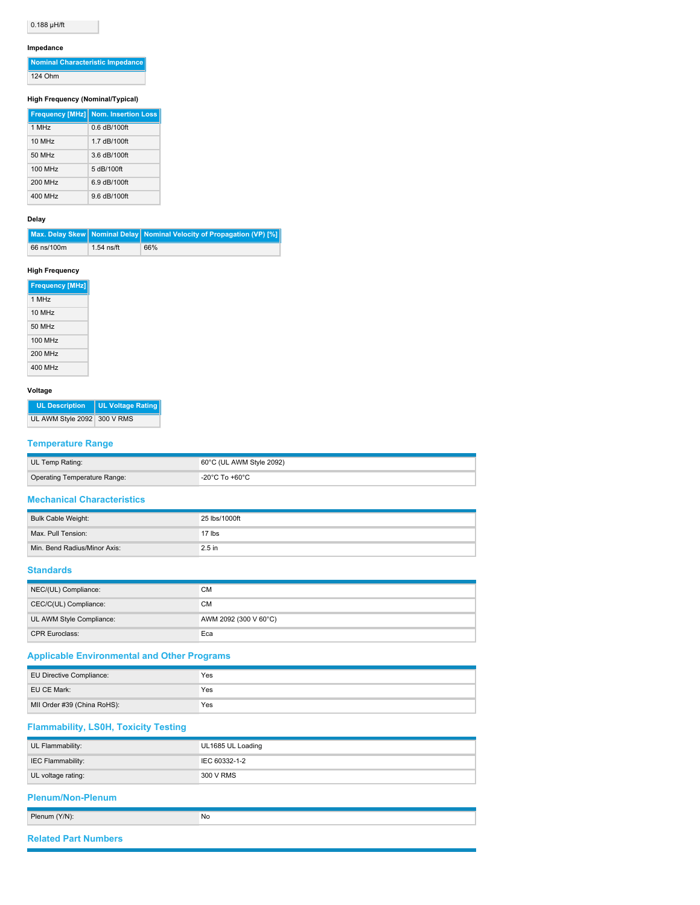## 0.188 µH/ft

#### **Impedance**

| Nominal Characteristic Impedance |
|----------------------------------|
| 124 Ohm                          |

### **High Frequency (Nominal/Typical)**

|         | <b>Frequency [MHz] Nom. Insertion Loss</b> |
|---------|--------------------------------------------|
| 1 MHz   | $0.6$ dB/100ft                             |
| 10 MHz  | 1.7 dB/100ft                               |
| 50 MHz  | 3.6 dB/100ft                               |
| 100 MHz | 5 dB/100ft                                 |
| 200 MHz | 6.9 dB/100ft                               |
| 400 MHz | 9.6 dB/100ft                               |

#### **Delay**

|            |              | Max. Delay Skew   Nominal Delay   Nominal Velocity of Propagation (VP) [%] |
|------------|--------------|----------------------------------------------------------------------------|
| 66 ns/100m | $1.54$ ns/ft | 66%                                                                        |

#### **High Frequency**

| 1 MH <sub>z</sub><br>10 MH <sub>7</sub><br>50 MH <sub>z</sub><br>100 MHz<br>200 MHz<br>400 MHz |
|------------------------------------------------------------------------------------------------|
|                                                                                                |
|                                                                                                |
|                                                                                                |
|                                                                                                |
|                                                                                                |
|                                                                                                |

#### **Voltage**

|                             | UL Description   UL Voltage Rating |
|-----------------------------|------------------------------------|
| UL AWM Style 2092 300 V RMS |                                    |

## **Temperature Range**

| UL Temp Rating:              | $60^{\circ}$ C (UL AWM Style 2092) |
|------------------------------|------------------------------------|
| Operating Temperature Range: | -20°C To +60°C                     |

### **Mechanical Characteristics**

| Bulk Cable Weight:           | 25 lbs/1000ft |
|------------------------------|---------------|
| Max. Pull Tension:           | 17 lbs        |
| Min. Bend Radius/Minor Axis: | $2.5$ in      |

#### **Standards**

| NEC/(UL) Compliance:     | СM                    |
|--------------------------|-----------------------|
| CEC/C(UL) Compliance:    | СM                    |
| UL AWM Style Compliance: | AWM 2092 (300 V 60°C) |
| <b>CPR Euroclass:</b>    | Eca                   |

## **Applicable Environmental and Other Programs**

| EU Directive Compliance:    | Yes |
|-----------------------------|-----|
| EU CE Mark:                 | Yes |
| MII Order #39 (China RoHS): | Yes |

## **Flammability, LS0H, Toxicity Testing**

| UL Flammability:         | UL1685 UL Loading |
|--------------------------|-------------------|
| IEC Flammability:        | IEC 60332-1-2     |
| UL voltage rating:       | 300 V RMS         |
| <b>Plenum/Non-Plenum</b> |                   |
|                          |                   |
| Plenum (Y/N):            | No                |